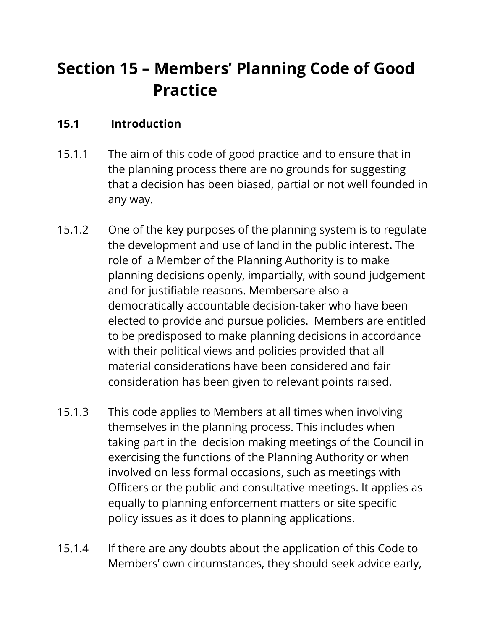# **Section 15 – Members' Planning Code of Good Practice**

#### **15.1 Introduction**

- 15.1.1 The aim of this code of good practice and to ensure that in the planning process there are no grounds for suggesting that a decision has been biased, partial or not well founded in any way.
- 15.1.2 One of the key purposes of the planning system is to regulate the development and use of land in the public interest**.** The role of a Member of the Planning Authority is to make planning decisions openly, impartially, with sound judgement and for justifiable reasons. Membersare also a democratically accountable decision-taker who have been elected to provide and pursue policies. Members are entitled to be predisposed to make planning decisions in accordance with their political views and policies provided that all material considerations have been considered and fair consideration has been given to relevant points raised.
- 15.1.3 This code applies to Members at all times when involving themselves in the planning process. This includes when taking part in the decision making meetings of the Council in exercising the functions of the Planning Authority or when involved on less formal occasions, such as meetings with Officers or the public and consultative meetings. It applies as equally to planning enforcement matters or site specific policy issues as it does to planning applications.
- 15.1.4 If there are any doubts about the application of this Code to Members' own circumstances, they should seek advice early,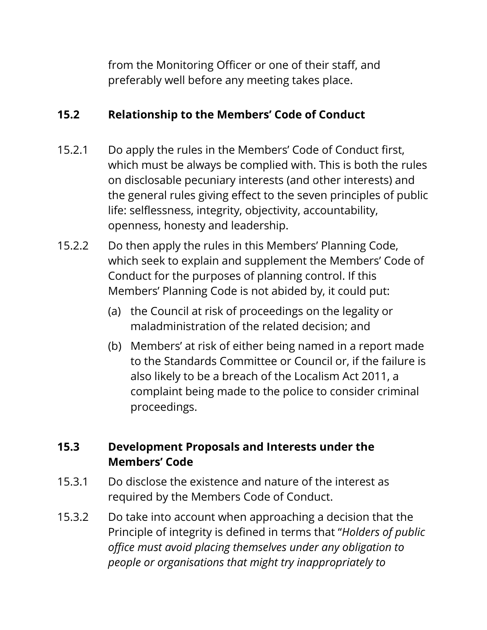from the Monitoring Officer or one of their staff, and preferably well before any meeting takes place.

### **15.2 Relationship to the Members' Code of Conduct**

- 15.2.1 Do apply the rules in the Members' Code of Conduct first, which must be always be complied with. This is both the rules on disclosable pecuniary interests (and other interests) and the general rules giving effect to the seven principles of public life: selflessness, integrity, objectivity, accountability, openness, honesty and leadership.
- 15.2.2 Do then apply the rules in this Members' Planning Code, which seek to explain and supplement the Members' Code of Conduct for the purposes of planning control. If this Members' Planning Code is not abided by, it could put:
	- (a) the Council at risk of proceedings on the legality or maladministration of the related decision; and
	- (b) Members' at risk of either being named in a report made to the Standards Committee or Council or, if the failure is also likely to be a breach of the Localism Act 2011, a complaint being made to the police to consider criminal proceedings.

## **15.3 Development Proposals and Interests under the Members' Code**

- 15.3.1 Do disclose the existence and nature of the interest as required by the Members Code of Conduct.
- 15.3.2 Do take into account when approaching a decision that the Principle of integrity is defined in terms that "*Holders of public office must avoid placing themselves under any obligation to people or organisations that might try inappropriately to*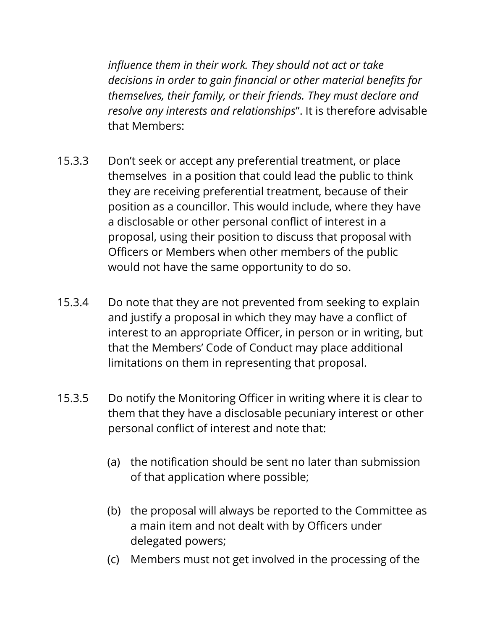*influence them in their work. They should not act or take decisions in order to gain financial or other material benefits for themselves, their family, or their friends. They must declare and resolve any interests and relationships*". It is therefore advisable that Members:

- 15.3.3 Don't seek or accept any preferential treatment, or place themselves in a position that could lead the public to think they are receiving preferential treatment, because of their position as a councillor. This would include, where they have a disclosable or other personal conflict of interest in a proposal, using their position to discuss that proposal with Officers or Members when other members of the public would not have the same opportunity to do so.
- 15.3.4 Do note that they are not prevented from seeking to explain and justify a proposal in which they may have a conflict of interest to an appropriate Officer, in person or in writing, but that the Members' Code of Conduct may place additional limitations on them in representing that proposal.
- 15.3.5 Do notify the Monitoring Officer in writing where it is clear to them that they have a disclosable pecuniary interest or other personal conflict of interest and note that:
	- (a) the notification should be sent no later than submission of that application where possible;
	- (b) the proposal will always be reported to the Committee as a main item and not dealt with by Officers under delegated powers;
	- (c) Members must not get involved in the processing of the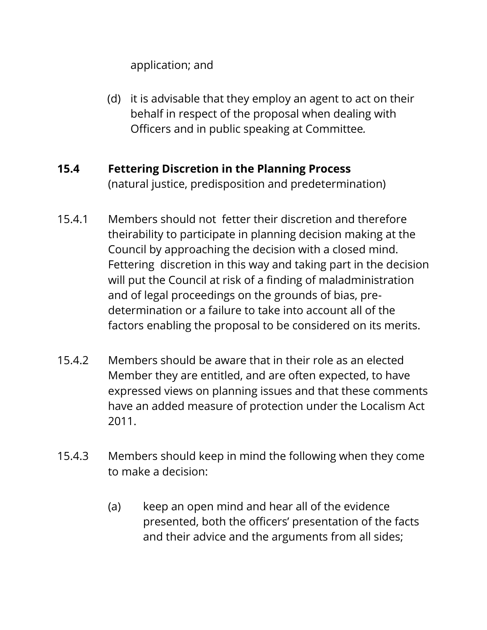application; and

(d) it is advisable that they employ an agent to act on their behalf in respect of the proposal when dealing with Officers and in public speaking at Committee*.*

#### **15.4 Fettering Discretion in the Planning Process**  (natural justice, predisposition and predetermination)

- 15.4.1 Members should not fetter their discretion and therefore theirability to participate in planning decision making at the Council by approaching the decision with a closed mind. Fettering discretion in this way and taking part in the decision will put the Council at risk of a finding of maladministration and of legal proceedings on the grounds of bias, predetermination or a failure to take into account all of the factors enabling the proposal to be considered on its merits.
- 15.4.2 Members should be aware that in their role as an elected Member they are entitled, and are often expected, to have expressed views on planning issues and that these comments have an added measure of protection under the Localism Act 2011.
- 15.4.3 Members should keep in mind the following when they come to make a decision:
	- (a) keep an open mind and hear all of the evidence presented, both the officers' presentation of the facts and their advice and the arguments from all sides;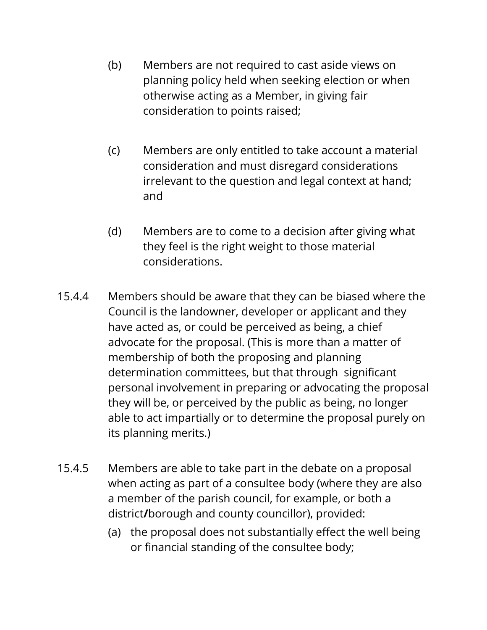- (b) Members are not required to cast aside views on planning policy held when seeking election or when otherwise acting as a Member, in giving fair consideration to points raised;
- (c) Members are only entitled to take account a material consideration and must disregard considerations irrelevant to the question and legal context at hand; and
- (d) Members are to come to a decision after giving what they feel is the right weight to those material considerations.
- 15.4.4 Members should be aware that they can be biased where the Council is the landowner, developer or applicant and they have acted as, or could be perceived as being, a chief advocate for the proposal. (This is more than a matter of membership of both the proposing and planning determination committees, but that through significant personal involvement in preparing or advocating the proposal they will be, or perceived by the public as being, no longer able to act impartially or to determine the proposal purely on its planning merits.)
- 15.4.5 Members are able to take part in the debate on a proposal when acting as part of a consultee body (where they are also a member of the parish council, for example, or both a district**/**borough and county councillor), provided:
	- (a) the proposal does not substantially effect the well being or financial standing of the consultee body;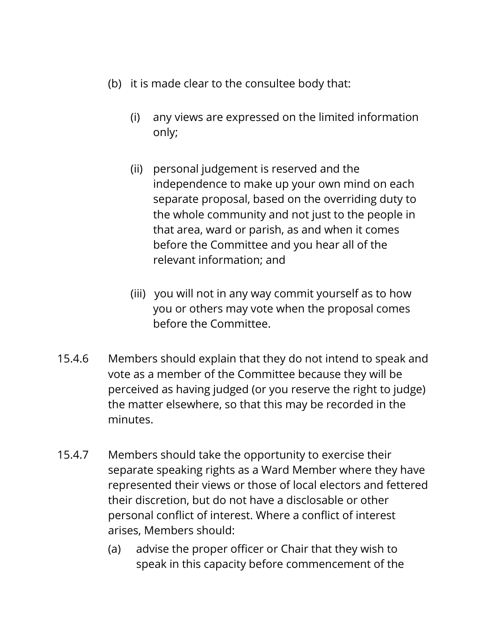- (b) it is made clear to the consultee body that:
	- (i) any views are expressed on the limited information only;
	- (ii) personal judgement is reserved and the independence to make up your own mind on each separate proposal, based on the overriding duty to the whole community and not just to the people in that area, ward or parish, as and when it comes before the Committee and you hear all of the relevant information; and
	- (iii) you will not in any way commit yourself as to how you or others may vote when the proposal comes before the Committee.
- 15.4.6 Members should explain that they do not intend to speak and vote as a member of the Committee because they will be perceived as having judged (or you reserve the right to judge) the matter elsewhere, so that this may be recorded in the minutes.
- 15.4.7 Members should take the opportunity to exercise their separate speaking rights as a Ward Member where they have represented their views or those of local electors and fettered their discretion, but do not have a disclosable or other personal conflict of interest. Where a conflict of interest arises, Members should:
	- (a) advise the proper officer or Chair that they wish to speak in this capacity before commencement of the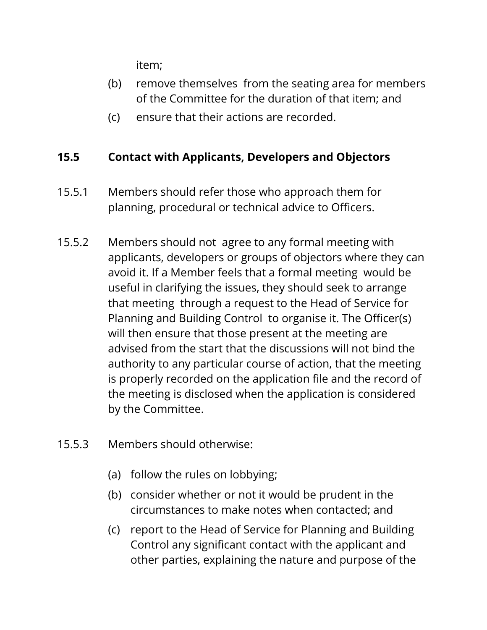item;

- (b) remove themselves from the seating area for members of the Committee for the duration of that item; and
- (c) ensure that their actions are recorded.

#### **15.5 Contact with Applicants, Developers and Objectors**

- 15.5.1 Members should refer those who approach them for planning, procedural or technical advice to Officers.
- 15.5.2 Members should not agree to any formal meeting with applicants, developers or groups of objectors where they can avoid it. If a Member feels that a formal meeting would be useful in clarifying the issues, they should seek to arrange that meeting through a request to the Head of Service for Planning and Building Control to organise it. The Officer(s) will then ensure that those present at the meeting are advised from the start that the discussions will not bind the authority to any particular course of action, that the meeting is properly recorded on the application file and the record of the meeting is disclosed when the application is considered by the Committee.
- 15.5.3 Members should otherwise:
	- (a) follow the rules on lobbying;
	- (b) consider whether or not it would be prudent in the circumstances to make notes when contacted; and
	- (c) report to the Head of Service for Planning and Building Control any significant contact with the applicant and other parties, explaining the nature and purpose of the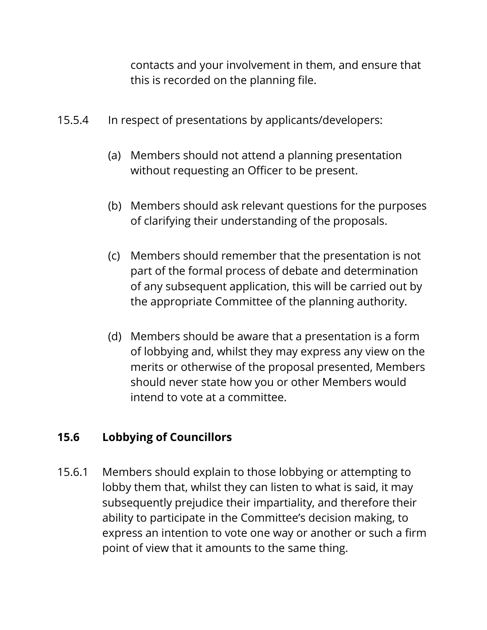contacts and your involvement in them, and ensure that this is recorded on the planning file.

- 15.5.4 In respect of presentations by applicants/developers:
	- (a) Members should not attend a planning presentation without requesting an Officer to be present.
	- (b) Members should ask relevant questions for the purposes of clarifying their understanding of the proposals.
	- (c) Members should remember that the presentation is not part of the formal process of debate and determination of any subsequent application, this will be carried out by the appropriate Committee of the planning authority.
	- (d) Members should be aware that a presentation is a form of lobbying and, whilst they may express any view on the merits or otherwise of the proposal presented, Members should never state how you or other Members would intend to vote at a committee.

### **15.6 Lobbying of Councillors**

15.6.1 Members should explain to those lobbying or attempting to lobby them that, whilst they can listen to what is said, it may subsequently prejudice their impartiality, and therefore their ability to participate in the Committee's decision making, to express an intention to vote one way or another or such a firm point of view that it amounts to the same thing.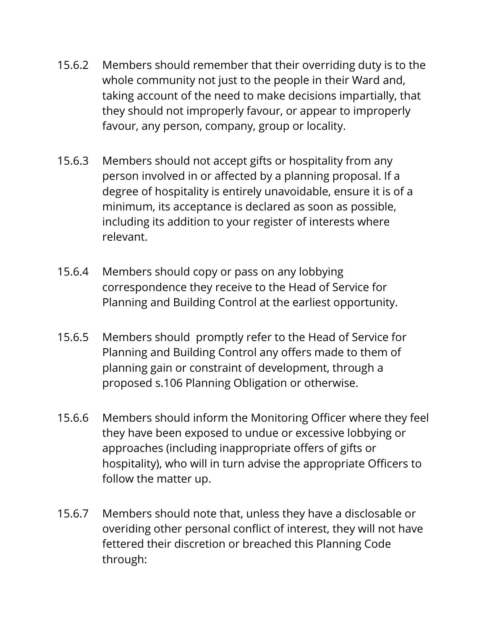- 15.6.2 Members should remember that their overriding duty is to the whole community not just to the people in their Ward and, taking account of the need to make decisions impartially, that they should not improperly favour, or appear to improperly favour, any person, company, group or locality.
- 15.6.3 Members should not accept gifts or hospitality from any person involved in or affected by a planning proposal. If a degree of hospitality is entirely unavoidable, ensure it is of a minimum, its acceptance is declared as soon as possible, including its addition to your register of interests where relevant.
- 15.6.4 Members should copy or pass on any lobbying correspondence they receive to the Head of Service for Planning and Building Control at the earliest opportunity.
- 15.6.5 Members should promptly refer to the Head of Service for Planning and Building Control any offers made to them of planning gain or constraint of development, through a proposed s.106 Planning Obligation or otherwise.
- 15.6.6 Members should inform the Monitoring Officer where they feel they have been exposed to undue or excessive lobbying or approaches (including inappropriate offers of gifts or hospitality), who will in turn advise the appropriate Officers to follow the matter up.
- 15.6.7 Members should note that, unless they have a disclosable or overiding other personal conflict of interest, they will not have fettered their discretion or breached this Planning Code through: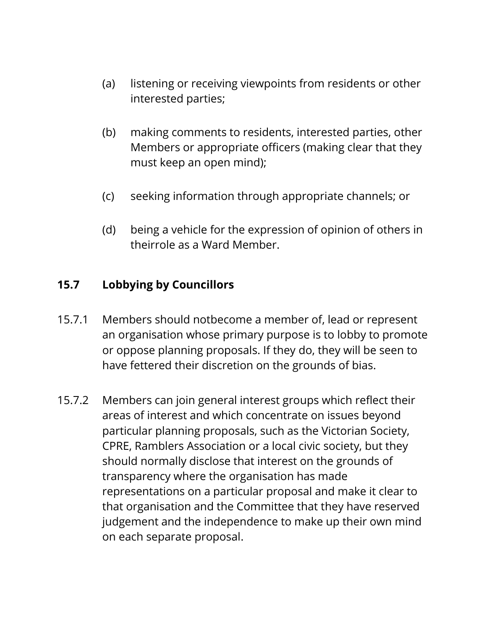- (a) listening or receiving viewpoints from residents or other interested parties;
- (b) making comments to residents, interested parties, other Members or appropriate officers (making clear that they must keep an open mind);
- (c) seeking information through appropriate channels; or
- (d) being a vehicle for the expression of opinion of others in theirrole as a Ward Member.

#### **15.7 Lobbying by Councillors**

- 15.7.1 Members should notbecome a member of, lead or represent an organisation whose primary purpose is to lobby to promote or oppose planning proposals. If they do, they will be seen to have fettered their discretion on the grounds of bias.
- 15.7.2 Members can join general interest groups which reflect their areas of interest and which concentrate on issues beyond particular planning proposals, such as the Victorian Society, CPRE, Ramblers Association or a local civic society, but they should normally disclose that interest on the grounds of transparency where the organisation has made representations on a particular proposal and make it clear to that organisation and the Committee that they have reserved judgement and the independence to make up their own mind on each separate proposal.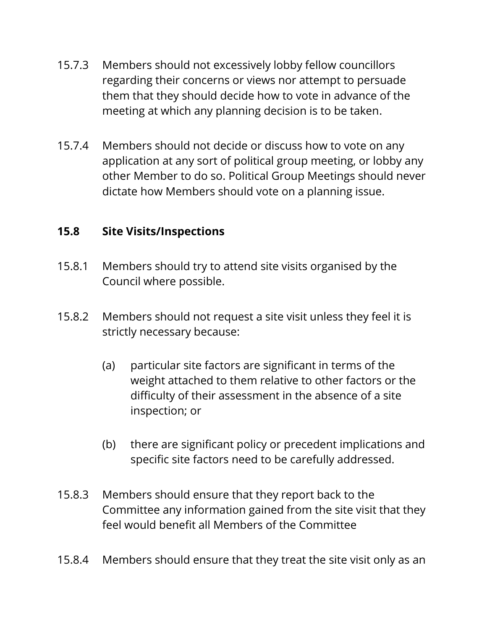- 15.7.3 Members should not excessively lobby fellow councillors regarding their concerns or views nor attempt to persuade them that they should decide how to vote in advance of the meeting at which any planning decision is to be taken.
- 15.7.4Members should not decide or discuss how to vote on any application at any sort of political group meeting, or lobby any other Member to do so. Political Group Meetings should never dictate how Members should vote on a planning issue.

#### **15.8 Site Visits/Inspections**

- 15.8.1 Members should try to attend site visits organised by the Council where possible.
- 15.8.2 Members should not request a site visit unless they feel it is strictly necessary because:
	- (a) particular site factors are significant in terms of the weight attached to them relative to other factors or the difficulty of their assessment in the absence of a site inspection; or
	- (b) there are significant policy or precedent implications and specific site factors need to be carefully addressed.
- 15.8.3 Members should ensure that they report back to the Committee any information gained from the site visit that they feel would benefit all Members of the Committee
- 15.8.4 Members should ensure that they treat the site visit only as an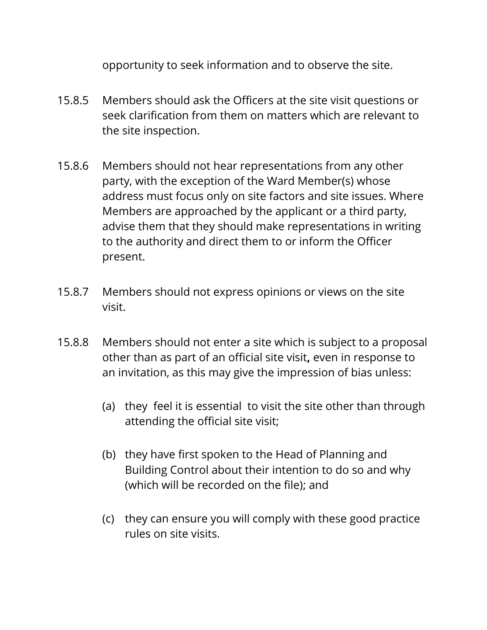opportunity to seek information and to observe the site.

- 15.8.5 Members should ask the Officers at the site visit questions or seek clarification from them on matters which are relevant to the site inspection.
- 15.8.6 Members should not hear representations from any other party, with the exception of the Ward Member(s) whose address must focus only on site factors and site issues. Where Members are approached by the applicant or a third party, advise them that they should make representations in writing to the authority and direct them to or inform the Officer present.
- 15.8.7 Members should not express opinions or views on the site visit.
- 15.8.8 Members should not enter a site which is subject to a proposal other than as part of an official site visit**,** even in response to an invitation, as this may give the impression of bias unless:
	- (a) they feel it is essential to visit the site other than through attending the official site visit;
	- (b) they have first spoken to the Head of Planning and Building Control about their intention to do so and why (which will be recorded on the file); and
	- (c) they can ensure you will comply with these good practice rules on site visits.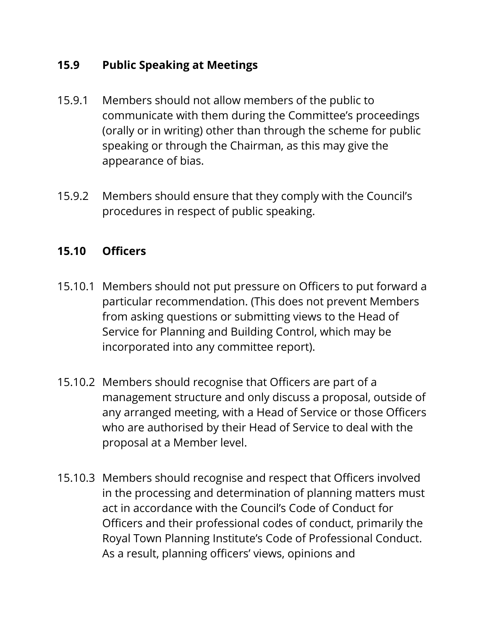#### **15.9 Public Speaking at Meetings**

- 15.9.1 Members should not allow members of the public to communicate with them during the Committee's proceedings (orally or in writing) other than through the scheme for public speaking or through the Chairman, as this may give the appearance of bias.
- 15.9.2 Members should ensure that they comply with the Council's procedures in respect of public speaking.

#### **15.10 Officers**

- 15.10.1 Members should not put pressure on Officers to put forward a particular recommendation. (This does not prevent Members from asking questions or submitting views to the Head of Service for Planning and Building Control, which may be incorporated into any committee report).
- 15.10.2 Members should recognise that Officers are part of a management structure and only discuss a proposal, outside of any arranged meeting, with a Head of Service or those Officers who are authorised by their Head of Service to deal with the proposal at a Member level.
- 15.10.3 Members should recognise and respect that Officers involved in the processing and determination of planning matters must act in accordance with the Council's Code of Conduct for Officers and their professional codes of conduct, primarily the Royal Town Planning Institute's Code of Professional Conduct. As a result, planning officers' views, opinions and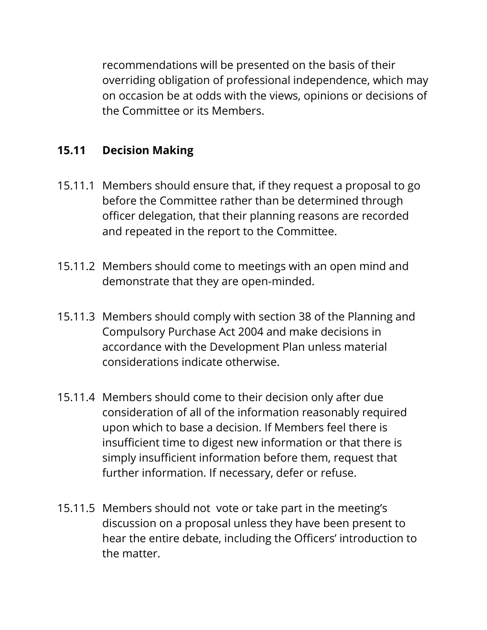recommendations will be presented on the basis of their overriding obligation of professional independence, which may on occasion be at odds with the views, opinions or decisions of the Committee or its Members.

#### **15.11 Decision Making**

- 15.11.1 Members should ensure that, if they request a proposal to go before the Committee rather than be determined through officer delegation, that their planning reasons are recorded and repeated in the report to the Committee.
- 15.11.2 Members should come to meetings with an open mind and demonstrate that they are open-minded.
- 15.11.3 Members should comply with section 38 of the Planning and Compulsory Purchase Act 2004 and make decisions in accordance with the Development Plan unless material considerations indicate otherwise.
- 15.11.4 Members should come to their decision only after due consideration of all of the information reasonably required upon which to base a decision. If Members feel there is insufficient time to digest new information or that there is simply insufficient information before them, request that further information. If necessary, defer or refuse.
- 15.11.5 Members should not vote or take part in the meeting's discussion on a proposal unless they have been present to hear the entire debate, including the Officers' introduction to the matter.